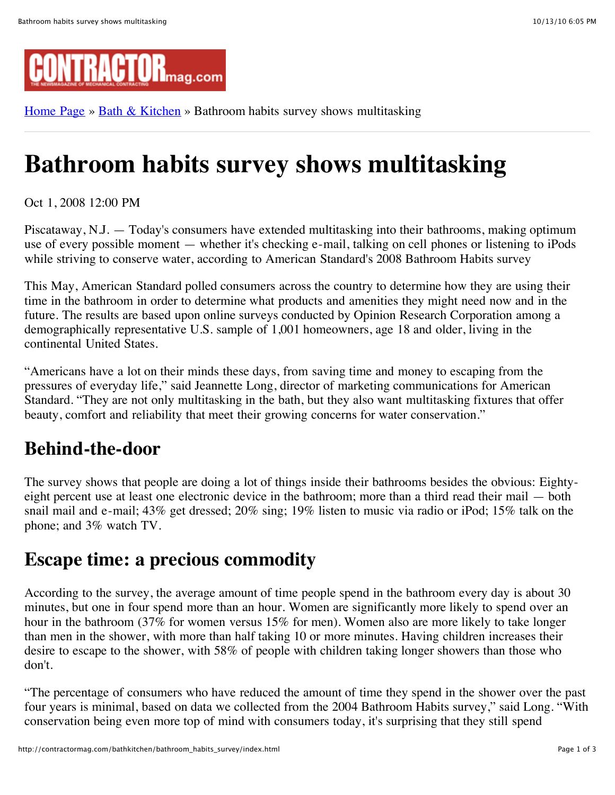

[Home Page](http://contractormag.com/) » [Bath & Kitchen](http://contractormag.com/bathkitchen/) » Bathroom habits survey shows multitasking

# **Bathroom habits survey shows multitasking**

Oct 1, 2008 12:00 PM

Piscataway, N.J. — Today's consumers have extended multitasking into their bathrooms, making optimum use of every possible moment — whether it's checking e-mail, talking on cell phones or listening to iPods while striving to conserve water, according to American Standard's 2008 Bathroom Habits survey

This May, American Standard polled consumers across the country to determine how they are using their time in the bathroom in order to determine what products and amenities they might need now and in the future. The results are based upon online surveys conducted by Opinion Research Corporation among a demographically representative U.S. sample of 1,001 homeowners, age 18 and older, living in the continental United States.

"Americans have a lot on their minds these days, from saving time and money to escaping from the pressures of everyday life," said Jeannette Long, director of marketing communications for American Standard. "They are not only multitasking in the bath, but they also want multitasking fixtures that offer beauty, comfort and reliability that meet their growing concerns for water conservation."

## **Behind-the-door**

The survey shows that people are doing a lot of things inside their bathrooms besides the obvious: Eightyeight percent use at least one electronic device in the bathroom; more than a third read their mail — both snail mail and e-mail; 43% get dressed; 20% sing; 19% listen to music via radio or iPod; 15% talk on the phone; and 3% watch TV.

### **Escape time: a precious commodity**

According to the survey, the average amount of time people spend in the bathroom every day is about 30 minutes, but one in four spend more than an hour. Women are significantly more likely to spend over an hour in the bathroom (37% for women versus 15% for men). Women also are more likely to take longer than men in the shower, with more than half taking 10 or more minutes. Having children increases their desire to escape to the shower, with 58% of people with children taking longer showers than those who don't.

"The percentage of consumers who have reduced the amount of time they spend in the shower over the past four years is minimal, based on data we collected from the 2004 Bathroom Habits survey," said Long. "With conservation being even more top of mind with consumers today, it's surprising that they still spend